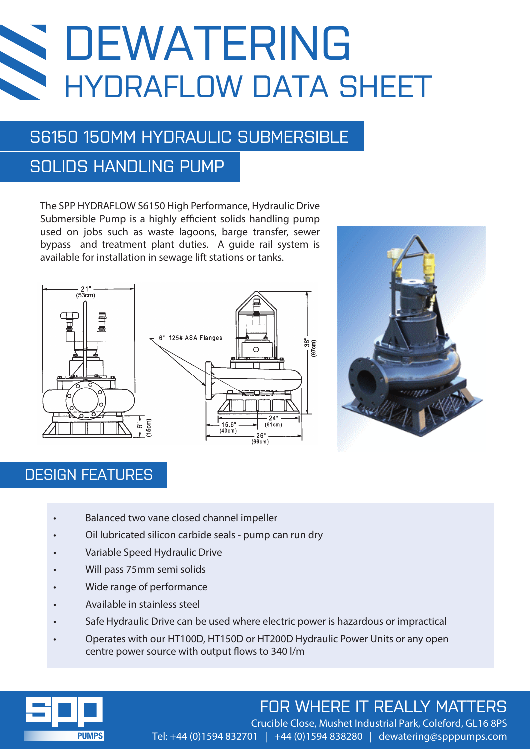# DEWATERING **SS** HYDRAFLOW DATA SHEET

## S6150 150MM HYDRAULIC SUBMERSIBLE

## SOLIDS HANDLING PUMP

The SPP HYDRAFLOW S6150 High Performance, Hydraulic Drive Submersible Pump is a highly efficient solids handling pump used on jobs such as waste lagoons, barge transfer, sewer bypass and treatment plant duties. A guide rail system is available for installation in sewage lift stations or tanks.





### DESIGN FEATURES

- Balanced two vane closed channel impeller
- Oil lubricated silicon carbide seals pump can run dry
- Variable Speed Hydraulic Drive
- Will pass 75mm semi solids
- Wide range of performance
- Available in stainless steel
- Safe Hydraulic Drive can be used where electric power is hazardous or impractical
- Operates with our HT100D, HT150D or HT200D Hydraulic Power Units or any open centre power source with output flows to 340 l/m



## FOR WHERE IT REALLY MATTERS

Crucible Close, Mushet Industrial Park, Coleford, GL16 8PS Tel: +44 (0)1594 832701 | +44 (0)1594 838280 | dewatering@spppumps.com